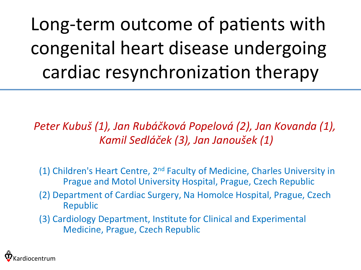Long-term outcome of patients with congenital heart disease undergoing cardiac resynchronization therapy

*Peter Kubuš (1), Jan Rubáčková Popelová (2), Jan Kovanda (1), Kamil Sedláček (3), Jan Janoušek (1)*

(1) Children's Heart Centre,  $2<sup>nd</sup>$  Faculty of Medicine, Charles University in Prague and Motol University Hospital, Prague, Czech Republic

(2) Department of Cardiac Surgery, Na Homolce Hospital, Prague, Czech Republic

(3) Cardiology Department, Institute for Clinical and Experimental Medicine, Prague, Czech Republic

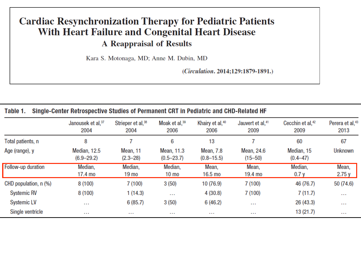#### **Cardiac Resynchronization Therapy for Pediatric Patients With Heart Failure and Congenital Heart Disease A Reappraisal of Results**

Kara S. Motonaga, MD; Anne M. Dubin, MD

(Circulation. 2014;129:1879-1891.)

| Single-Center Retrospective Studies of Permanent CRT in Pediatric and CHD-Related HF<br>Table 1. |                                |                                       |                              |                                    |                                      |                                      |                                     |
|--------------------------------------------------------------------------------------------------|--------------------------------|---------------------------------------|------------------------------|------------------------------------|--------------------------------------|--------------------------------------|-------------------------------------|
|                                                                                                  | Janousek et al, 37<br>2004     | Strieper et al, <sup>38</sup><br>2004 | Moak et al, $39$<br>2006     | Khairy et al, $40$<br>2006         | Jauvert et al, <sup>41</sup><br>2009 | Cecchin et al, <sup>42</sup><br>2009 | Perera et al, <sup>43</sup><br>2013 |
| Total patients, n                                                                                | 8                              |                                       | 6                            | 13                                 |                                      | 60                                   | 67                                  |
| Age (range), y                                                                                   | Median, 12.5<br>$(6.9 - 29.2)$ | Mean, 11<br>$(2.3 - 28)$              | Mean, 11.3<br>$(0.5 - 23.7)$ | <b>Mean, 7.8</b><br>$(0.8 - 15.5)$ | Mean, 24.6<br>$(15 - 50)$            | Median, 15<br>$(0.4 - 47)$           | <b>Unknown</b>                      |
| Follow-up duration                                                                               | Median,<br>17.4 mo             | Median,<br>19 mo                      | Median,<br>$10 \text{ mo}$   | Mean,<br>16.5 mo                   | Mean,<br>19.4 mo                     | Median,<br>0.7y                      | Mean,<br>2.75 y                     |
| CHD population, n (%)                                                                            | 8(100)                         | 7(100)                                | 3(50)                        | 10 (76.9)                          | 7(100)                               | 46 (76.7)                            | 50 (74.6)                           |
| <b>Systemic RV</b>                                                                               | 8(100)                         | 1(14.3)                               | $\cdots$                     | 4(30.8)                            | 7(100)                               | 7(11.7)                              | $\cdots$                            |
| <b>Systemic LV</b>                                                                               | $\cdots$                       | 6(85.7)                               | 3(50)                        | 6(46.2)                            | $\cdots$                             | 26 (43.3)                            | $\cdots$                            |
| Single ventricle                                                                                 | $\cdots$                       |                                       | $\cdots$                     |                                    |                                      | 13 (21.7)                            | $\sim$ $\sim$                       |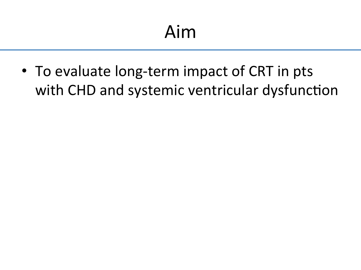• To evaluate long-term impact of CRT in pts with CHD and systemic ventricular dysfunction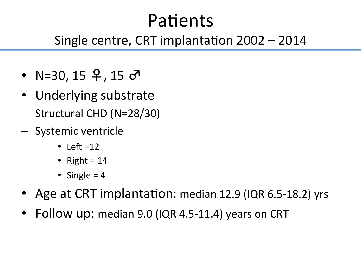#### Patients

#### Single centre, CRT implantation  $2002 - 2014$

- N=30, 15  $9, 15$   $\sigma$
- Underlying substrate
- Structural CHD (N=28/30)
- Systemic ventricle
	- $\cdot$  Left =12
	- Right =  $14$
	- Single  $= 4$
- Age at CRT implantation: median 12.9 (IQR 6.5-18.2) yrs
- Follow up: median 9.0 (IQR 4.5-11.4) years on CRT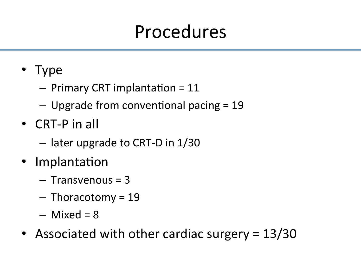#### Procedures

- Type
	- $-$  Primary CRT implantation = 11
	- $-$  Upgrade from conventional pacing = 19
- $\bullet$  CRT-P in all
	- $-$  later upgrade to CRT-D in  $1/30$
- Implantation
	- $-$  Transvenous = 3
	- $-$  Thoracotomy = 19
	- $-$  Mixed = 8
- Associated with other cardiac surgery  $= 13/30$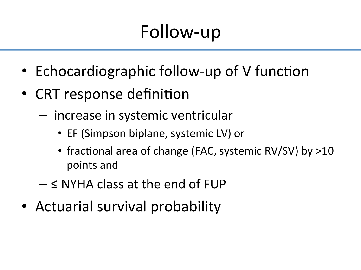# Follow-up

- Echocardiographic follow-up of V function
- CRT response definition
	- $-$  increase in systemic ventricular
		- EF (Simpson biplane, systemic LV) or
		- fractional area of change (FAC, systemic RV/SV) by >10 points and
	- $\leq$  NYHA class at the end of FUP
- Actuarial survival probability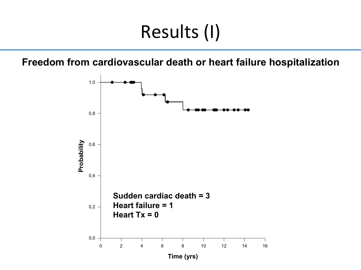## Results (I)

**Freedom from cardiovascular death or heart failure hospitalization** 

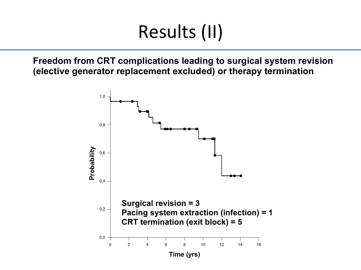# Results (II)

**Freedom from CRT complications leading to surgical system revision (elective generator replacement excluded) or therapy termination** 

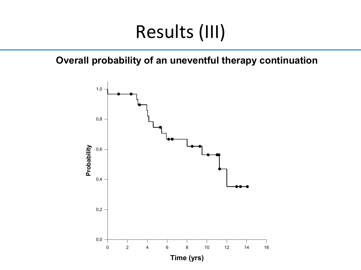#### Results (III)

**Overall probability of an uneventful therapy continuation**

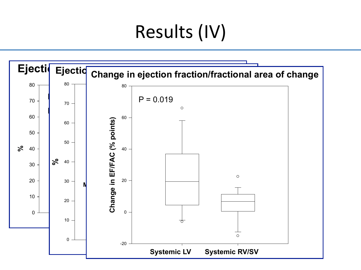# Results (IV)

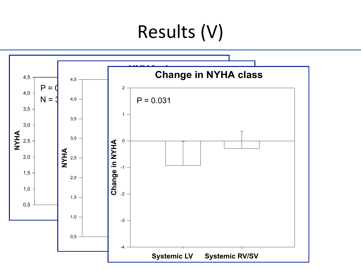#### Results (V)

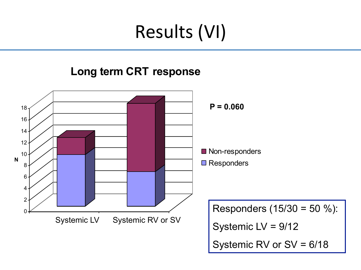## Results (VI)

#### **Long term CRT response**